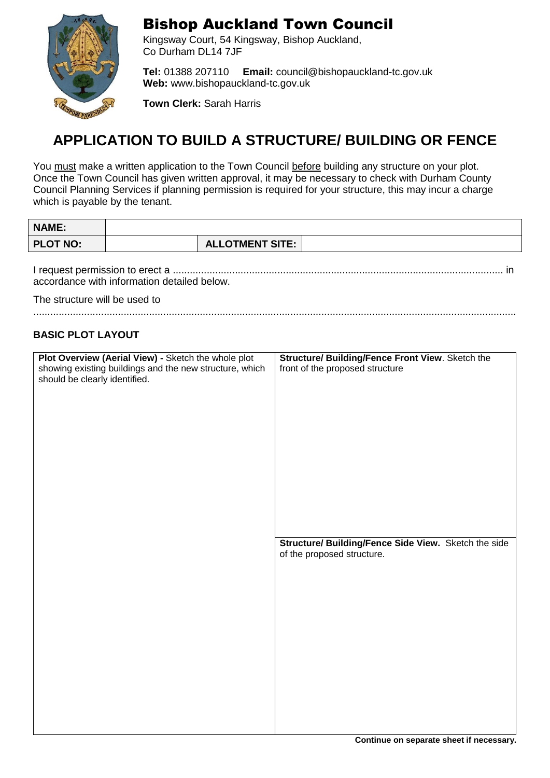

### Bishop Auckland Town Council

Kingsway Court, 54 Kingsway, Bishop Auckland, Co Durham DL14 7JF

**Tel:** 01388 207110 **Email:** [council@bishopauckland-tc.gov.uk](mailto:council@bishopauckland-tc.gov.uk) **Web:** [www.bishopauckland-tc.gov.uk](http://www.bishopauckland-tc.gov.uk/)

**Town Clerk:** Sarah Harris

## **APPLICATION TO BUILD A STRUCTURE/ BUILDING OR FENCE**

You must make a written application to the Town Council before building any structure on your plot. Once the Town Council has given written approval, it may be necessary to check with Durham County Council Planning Services if planning permission is required for your structure, this may incur a charge which is payable by the tenant.

| <b>NAME:</b>                  |                                                                                                                |                                                                                                                                             |
|-------------------------------|----------------------------------------------------------------------------------------------------------------|---------------------------------------------------------------------------------------------------------------------------------------------|
| <b>PLOT NO:</b>               |                                                                                                                | <b>ALLOTMENT SITE:</b>                                                                                                                      |
| The structure will be used to | accordance with information detailed below.                                                                    |                                                                                                                                             |
|                               |                                                                                                                |                                                                                                                                             |
| <b>BASIC PLOT LAYOUT</b>      |                                                                                                                |                                                                                                                                             |
| should be clearly identified. | Plot Overview (Aerial View) - Sketch the whole plot<br>showing existing buildings and the new structure, which | Structure/ Building/Fence Front View. Sketch the<br>front of the proposed structure<br>Structure/ Building/Fence Side View. Sketch the side |
|                               |                                                                                                                | of the proposed structure.                                                                                                                  |